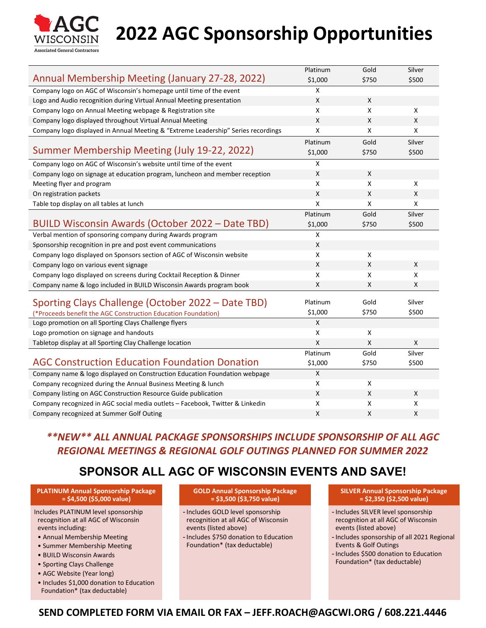

# **2022 AGC Sponsorship Opportunities**

|                                                                                   | Platinum | Gold  | Silver                    |
|-----------------------------------------------------------------------------------|----------|-------|---------------------------|
| Annual Membership Meeting (January 27-28, 2022)                                   | \$1,000  | \$750 | \$500                     |
| Company logo on AGC of Wisconsin's homepage until time of the event               | X        |       |                           |
| Logo and Audio recognition during Virtual Annual Meeting presentation             | X        | X     |                           |
| Company logo on Annual Meeting webpage & Registration site                        | X        | X     | X                         |
| Company logo displayed throughout Virtual Annual Meeting                          | X        | X     | $\boldsymbol{\mathsf{X}}$ |
| Company logo displayed in Annual Meeting & "Extreme Leadership" Series recordings | Χ        | X     | X                         |
|                                                                                   | Platinum | Gold  | Silver                    |
| Summer Membership Meeting (July 19-22, 2022)                                      | \$1,000  | \$750 | \$500                     |
| Company logo on AGC of Wisconsin's website until time of the event                | Χ        |       |                           |
| Company logo on signage at education program, luncheon and member reception       | Χ        | X     |                           |
| Meeting flyer and program                                                         | X        | X     | X                         |
| On registration packets                                                           | Χ        | X     | X                         |
| Table top display on all tables at lunch                                          | X        | X     | X                         |
|                                                                                   | Platinum | Gold  | Silver                    |
| BUILD Wisconsin Awards (October 2022 - Date TBD)                                  | \$1,000  | \$750 | \$500                     |
| Verbal mention of sponsoring company during Awards program                        | Χ        |       |                           |
| Sponsorship recognition in pre and post event communications                      | X        |       |                           |
| Company logo displayed on Sponsors section of AGC of Wisconsin website            | X        | X     |                           |
| Company logo on various event signage                                             | Χ        | X     | X                         |
| Company logo displayed on screens during Cocktail Reception & Dinner              | Χ        | X     | X                         |
| Company name & logo included in BUILD Wisconsin Awards program book               | X        | X     | X                         |
| Sporting Clays Challenge (October 2022 – Date TBD)                                | Platinum | Gold  | Silver                    |
| (*Proceeds benefit the AGC Construction Education Foundation)                     | \$1,000  | \$750 | \$500                     |
| Logo promotion on all Sporting Clays Challenge flyers                             | Χ        |       |                           |
| Logo promotion on signage and handouts                                            | Χ        | X     |                           |
| Tabletop display at all Sporting Clay Challenge location                          | Χ        | X     | X                         |
|                                                                                   | Platinum | Gold  | Silver                    |
| <b>AGC Construction Education Foundation Donation</b>                             | \$1,000  | \$750 | \$500                     |
| Company name & logo displayed on Construction Education Foundation webpage        | Χ        |       |                           |
| Company recognized during the Annual Business Meeting & lunch                     | Χ        | X     |                           |
| Company listing on AGC Construction Resource Guide publication                    | Χ        | X     | X                         |
| Company recognized in AGC social media outlets - Facebook, Twitter & Linkedin     | x        | X     | x                         |
| Company recognized at Summer Golf Outing                                          | Χ        | X     | Χ                         |

#### *\*\*NEW\*\* ALL ANNUAL PACKAGE SPONSORSHIPS INCLUDE SPONSORSHIP OF ALL AGC REGIONAL MEETINGS & REGIONAL GOLF OUTINGS PLANNED FOR SUMMER 2022*

### **SPONSOR ALL AGC OF WISCONSIN EVENTS AND SAVE!**

**PLATINUM Annual Sponsorship Package = \$4,500 (\$5,000 value)**

Includes PLATINUM level sponsorship recognition at all AGC of Wisconsin events including:

- Annual Membership Meeting
- Summer Membership Meeting
- BUILD Wisconsin Awards
- Sporting Clays Challenge
- AGC Website (Year long)
- Includes \$1,000 donation to Education Foundation\* (tax deductable)

**GOLD Annual Sponsorship Package = \$3,500 (\$3,750 value)**

- Includes GOLD level sponsorship recognition at all AGC of Wisconsin events (listed above)
- Includes \$750 donation to Education Foundation\* (tax deductable)

**SILVER Annual Sponsorship Package = \$2,350 (\$2,500 value)**

- Includes SILVER level sponsorship recognition at all AGC of Wisconsin events (listed above)
- Includes sponsorship of all 2021 Regional Events & Golf Outings
- Includes \$500 donation to Education Foundation\* (tax deductable)

#### **SEND COMPLETED FORM VIA EMAIL OR FAX – JEFF.ROACH@AGCWI.ORG / 608.221.4446**